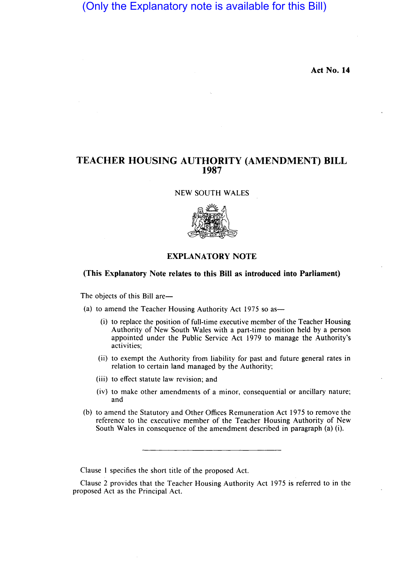# (Only the Explanatory note is available for this Bill)

**Act No. 14** 

## **TEACHER HOUSING AUTHORITY (AMENDMENT) BILL 1987**

NEW SOUTH WALES



## **EXPLANATORY NOTE**

## **(This Explanatory Note relates to this Bill as introduced into Parliament)**

The objects of this Bill are-

(a) to amend the Teacher Housing Authority Act 1975 so as—

- $(i)$  to replace the position of full-time executive member of the Teacher Housing Authority of New South Wales with a part-time position held by a person appointed under the Public Service Act 1979 to manage the Authority's activities;
- (ii) to exempt the Authority from liability for past and future general rates in relation to certain land managed by the Authority;
- (iii) to effect statute law revision; and
- (iv) to make other amendments of a minor, consequential or ancillary nature; and
- (b) to amend the Statutory and Other Offices Remuneration Act 1975 to remove the reference to the executive member of the Teacher Housing Authority of New South Wales in consequence of the amendment described in paragraph (a) (i).

Clause 1 specifies the short title of the proposed Act.

Clause 2 provides that the Teacher Housing Authority Act 1975 is referred to in the proposed Act as the Principal Act.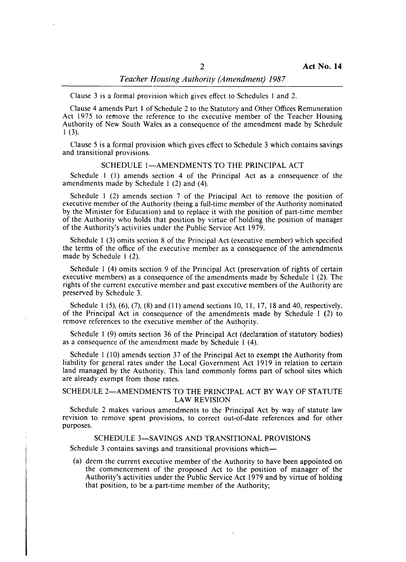## *Teacher Housing Authority (Amendment) 1987*

Clause 3 is a formal provision which gives effect to Schedules I and 2.

Clause 4 amends Part I of Schedule 2 to the Statutory and Other Offices Remuneration Act 1975 to remove the reference to the executive member of the Teacher Housing Authority of New South Wales as a consequence of the amendment made by Schedule  $1(3)$ .

Clause 5 is a formal provision which gives effect to Schedule 3 which contains savings and transitional provisions.

#### SCHEDULE 1-AMENDMENTS TO THE PRINCIPAL ACT

Schedule I (I) amends section 4 of the Principal Act as a consequence of the amendments made by Schedule I (2) and (4).

Schedule I (2) amends section 7 of the Principal Act to remove the position of executive member of the Authority (being a full-time member of the Authority nominated by the Minister for Education) and to replace it with the position of part-time member of the Authority who holds that position by virtue of holding the position of manager of the Authority's activities under the Public Service Act 1979.

Schedule I (3) omits section 8 of the Principal Act (executive member) which specified the terms of the office of the executive member as a consequence of the amendments made by Schedule I (2).

Schedule I (4) omits section 9 of the Principal Act (preservation of rights of certain executive members) as a consequence of the amendments made by Schedule I (2). The rights of the current executive member and past executive members of the Authority are preserved by Schedule 3.

Schedule  $1(5)$ ,  $(6)$ ,  $(7)$ ,  $(8)$  and  $(11)$  amend sections 10, 11, 17, 18 and 40, respectively, of the Principal Act in consequence of the amendments made by Schedule I (2) to remove references to the executive member of the Authority.

Schedule I (9) omits section 36 of the Principal Act (declaration of statutory bodies) as a consequence of the amendment made by Schedule I (4).

Schedule 1 (10) amends section 37 of the Principal Act to exempt the Authority from liability for general rates under the Local Government Act 1919 in relation to certain land managed by the Authority. This land commonly forms part of school sites which are aiready exempt from those rates.

#### SCHEDULE 2-AMENDMENTS TO THE PRINCIPAL ACT BY WAY OF STATUTE LAW REVISION

Schedule 2 makes various amendments to the Principal Act by way of statute law revision to remove spent provisions, to correct out-of-date references and for other purposes.

### SCHEDULE 3-SAVINGS AND TRANSITIONAL PROVISIONS

Schedule 3 contains savings and transitional provisions which-

(a) deem the current executive member of the Authority to have been appointed on the commencement of the proposed Act to the position of manager of the Authority's activities under the Public Service Act 1979 and by virtue of holding that position, to be a part-time member of the Authority;